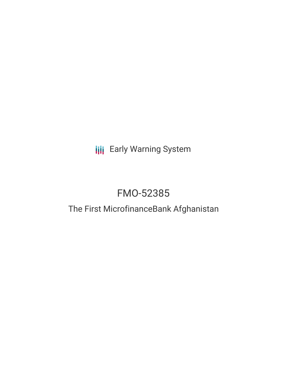**III** Early Warning System

# FMO-52385

## The First MicrofinanceBank Afghanistan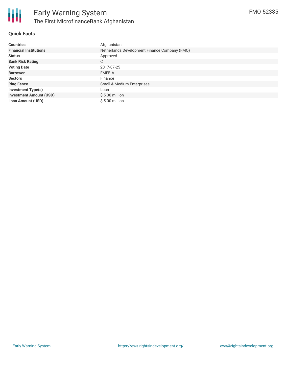

### **Quick Facts**

| <b>Countries</b>               | Afghanistan                                   |
|--------------------------------|-----------------------------------------------|
| <b>Financial Institutions</b>  | Netherlands Development Finance Company (FMO) |
| <b>Status</b>                  | Approved                                      |
| <b>Bank Risk Rating</b>        | С                                             |
| <b>Voting Date</b>             | 2017-07-25                                    |
| <b>Borrower</b>                | <b>FMFB-A</b>                                 |
| <b>Sectors</b>                 | Finance                                       |
| <b>Ring Fence</b>              | Small & Medium Enterprises                    |
| <b>Investment Type(s)</b>      | Loan                                          |
| <b>Investment Amount (USD)</b> | $$5.00$ million                               |
| <b>Loan Amount (USD)</b>       | $$5.00$ million                               |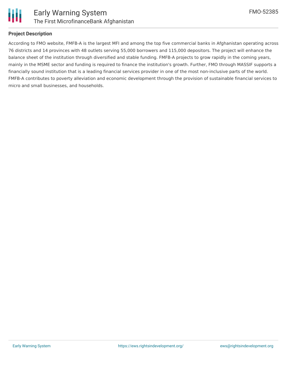

#### **Project Description**

According to FMO website, FMFB-A is the largest MFI and among the top five commercial banks in Afghanistan operating across 76 districts and 14 provinces with 48 outlets serving 55,000 borrowers and 115,000 depositors. The project will enhance the balance sheet of the institution through diversified and stable funding. FMFB-A projects to grow rapidly in the coming years, mainly in the MSME sector and funding is required to finance the institution's growth. Further, FMO through MASSIF supports a financially sound institution that is a leading financial services provider in one of the most non-inclusive parts of the world. FMFB-A contributes to poverty alleviation and economic development through the provision of sustainable financial services to micro and small businesses, and households.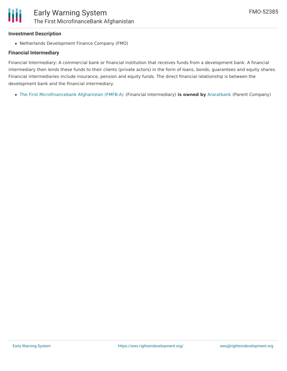## **Investment Description**

Netherlands Development Finance Company (FMO)

## **Financial Intermediary**

Financial Intermediary: A commercial bank or financial institution that receives funds from a development bank. A financial intermediary then lends these funds to their clients (private actors) in the form of loans, bonds, guarantees and equity shares. Financial intermediaries include insurance, pension and equity funds. The direct financial relationship is between the development bank and the financial intermediary.

The First [Microfinancebank](file:///actor/3487/) Afghanistan (FMFB-A) (Financial Intermediary) **is owned by** [Araratbank](file:///actor/3945/) (Parent Company)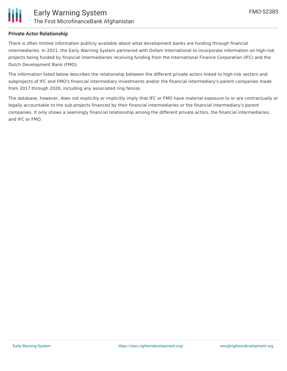

#### **Private Actor Relationship**

There is often limited information publicly available about what development banks are funding through financial intermediaries. In 2021, the Early Warning System partnered with Oxfam International to incorporate information on high-risk projects being funded by financial intermediaries receiving funding from the International Finance Corporation (IFC) and the Dutch Development Bank (FMO).

The information listed below describes the relationship between the different private actors linked to high-risk sectors and subprojects of IFC and FMO's financial intermediary investments and/or the financial intermediary's parent companies made from 2017 through 2020, including any associated ring fences.

The database, however, does not explicitly or implicitly imply that IFC or FMO have material exposure to or are contractually or legally accountable to the sub-projects financed by their financial intermediaries or the financial intermediary's parent companies. It only shows a seemingly financial relationship among the different private actors, the financial intermediaries, and IFC or FMO.